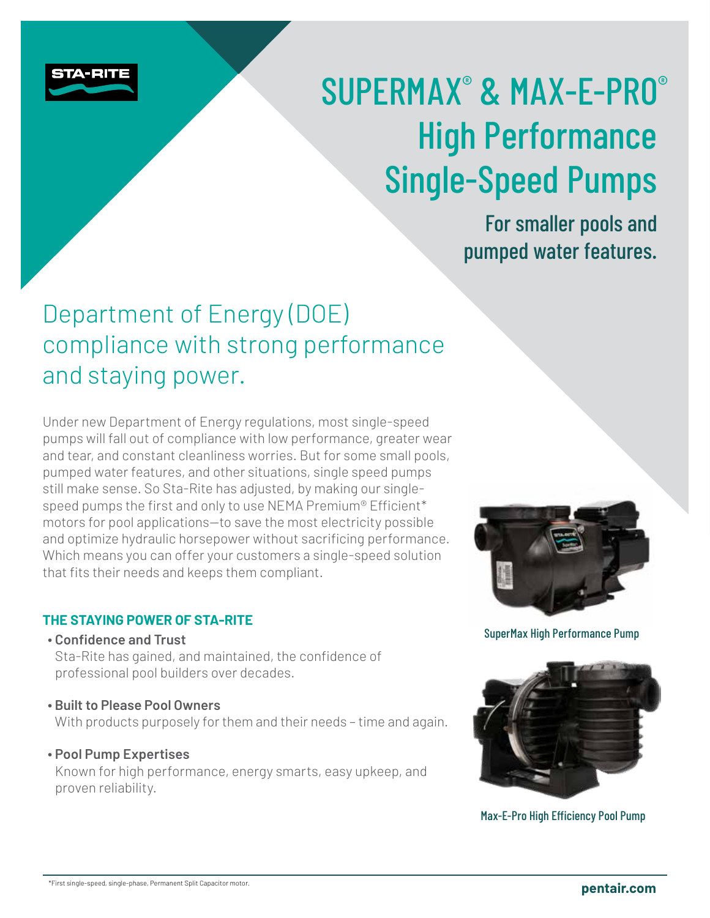

# SUPERMAX® & MAX-E-PRO® High Performance Single-Speed Pumps

For smaller pools and pumped water features.

## Department of Energy (DOE) compliance with strong performance and staying power.

Under new Department of Energy regulations, most single-speed pumps will fall out of compliance with low performance, greater wear and tear, and constant cleanliness worries. But for some small pools, pumped water features, and other situations, single speed pumps still make sense. So Sta-Rite has adjusted, by making our singlespeed pumps the first and only to use NEMA Premium® Efficient\* motors for pool applications—to save the most electricity possible and optimize hydraulic horsepower without sacrificing performance. Which means you can offer your customers a single-speed solution that fits their needs and keeps them compliant.

#### **THE STAYING POWER OF STA-RITE**

**∙ Confidence and Trust** 

Sta-Rite has gained, and maintained, the confidence of professional pool builders over decades.

**∙ Built to Please Pool Owners** 

With products purposely for them and their needs – time and again.

#### **∙ Pool Pump Expertises**

Known for high performance, energy smarts, easy upkeep, and proven reliability.



SuperMax High Performance Pump



Max-E-Pro High Efficiency Pool Pump